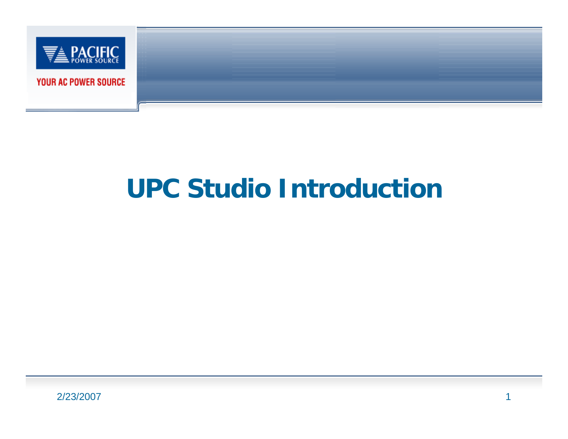

# **UPC Studio Introduction**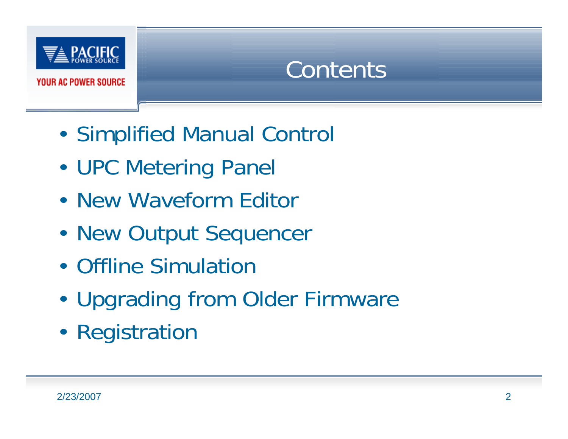

**Contents** 

- •Simplified Manual Control
- •UPC Metering Panel
- New Waveform Editor
- •New Output Sequencer
- Offline Simulation
- •Upgrading from Older Firmware
- •Registration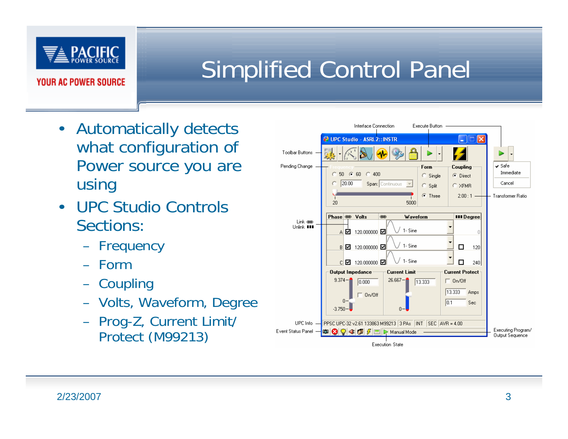

## Simplified Control Panel

- Automatically detects what configuration of Power source you are using
- UPC Studio Controls Sections:
	- Frequency
	- Form
	- Coupling
	- Volts, Waveform, Degree
	- Prog-Z, Current Limit/ Protect (M99213)

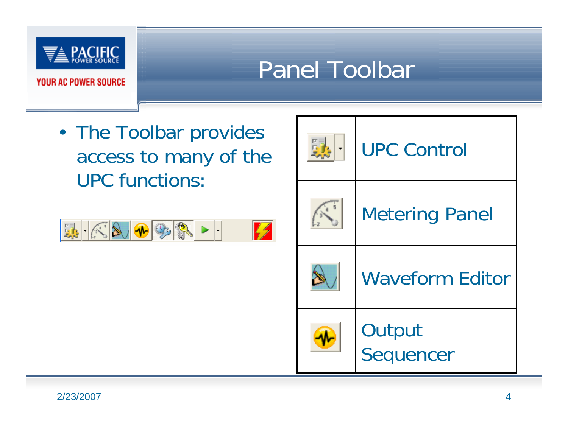

## Panel Toolbar

• The Toolbar provides access to many of the UPC functions:



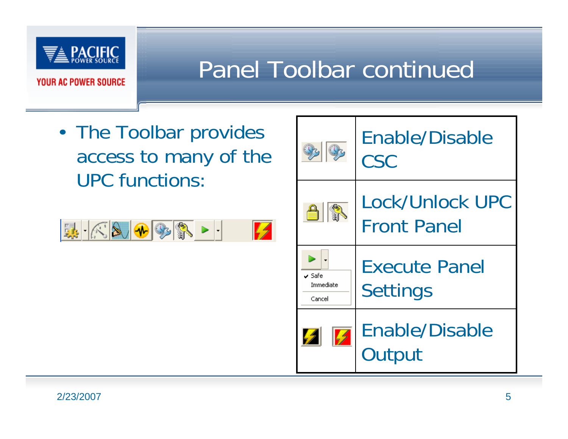

#### Panel Toolbar continued

• The Toolbar provides access to many of the UPC functions:



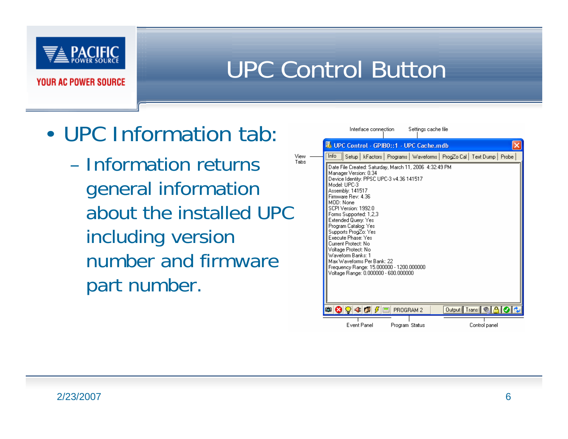

#### UPC Control Button

- UPC Information tab:
	- View -– Information returns Tahs general information about the installed UPC including version number and firmware part number.

| Interface connection<br>Settings cache file                                                                                                                                                                                                                                                                                                                                                                                                                                                                                             |
|-----------------------------------------------------------------------------------------------------------------------------------------------------------------------------------------------------------------------------------------------------------------------------------------------------------------------------------------------------------------------------------------------------------------------------------------------------------------------------------------------------------------------------------------|
| 界 UPC Control - GPIBO::1 - UPC Cache.mdb                                                                                                                                                                                                                                                                                                                                                                                                                                                                                                |
| Info<br>kFactors   Programs   Waveforms   ProgZo Cal   Text Dump   Probe  <br>Setup                                                                                                                                                                                                                                                                                                                                                                                                                                                     |
| Date File Created: Saturday, March 11, 2006 4:32:49 PM<br>Manager Version: 0.34<br>Device Identity: PPSC UPC-3 v4.36 141517<br>Model: UPC-3<br>Assembly: 141517<br>Firmware Rev: 4.36<br>MOD: None<br>SCPI Version: 1992.0<br>Forms Supported: 1,2,3<br>Extended Query: Yes<br>Program Catalog: Yes<br>Supports ProgZo: Yes<br>Execute Phase: Yes<br>Current Protect: No.<br>Voltage Protect: No<br>Waveform Banks: 1<br>Max Waveforms Per Bank: 22<br>Frequency Range: 15.000000 - 1200.000000<br>Voltage Range: 0.000000 - 600.000000 |
| $\begin{array}{c c c c c c c c c} \hline \textbf{a} & \textbf{Q} & \textbf{Q} & \textbf{Q} & \textbf{E} & \textbf{PROGRAM 2} \\ \hline \end{array}$<br>Output Trans <b>O.A.O</b>                                                                                                                                                                                                                                                                                                                                                        |
| <b>Event Panel</b><br>Control panel<br>Program Status                                                                                                                                                                                                                                                                                                                                                                                                                                                                                   |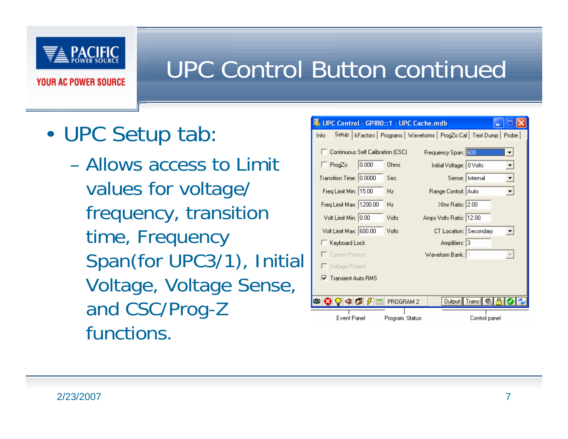

- • UPC Setup tab:
	- Allows access to Limit values for voltage/ frequency, transition time, Frequency Span(for UPC3/1), Initial Voltage, Voltage Sense, and CSC/Prog-Z functions.

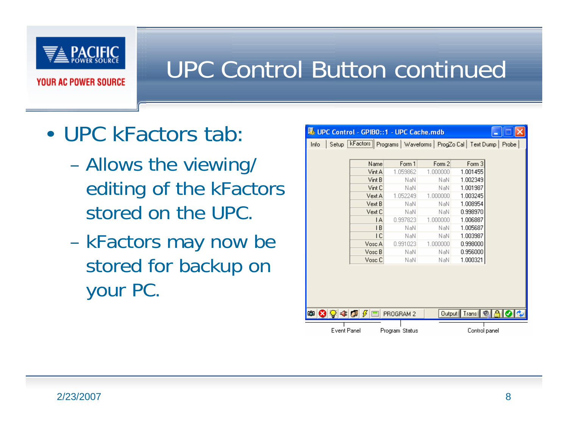

- UPC kFactors tab:
	- Allows the viewing/ editing of the kFactors stored on the UPC.
	- kFactors may now be stored for backup on your PC.

| 既 UPC Control - GPIBO::1 - UPC Cache.mdb |                                                                        |                |          |                       |  |  |  |  |
|------------------------------------------|------------------------------------------------------------------------|----------------|----------|-----------------------|--|--|--|--|
| Info                                     | Setup [kFactors] Programs   Waveforms   ProgZo Cal   Text Dump   Probe |                |          |                       |  |  |  |  |
|                                          |                                                                        |                |          |                       |  |  |  |  |
|                                          | Name                                                                   | Form 1         | Form 2   | Form 3                |  |  |  |  |
|                                          | Vint A                                                                 | 1.059862       | 1.000000 | 1.001455              |  |  |  |  |
|                                          | Vint B                                                                 | NaN            | NaN      | 1.002349              |  |  |  |  |
|                                          | Vint C                                                                 | NaN            | NaN      | 1.001987              |  |  |  |  |
|                                          | Vext A                                                                 | 1.052249       | 1.000000 | 1.003245              |  |  |  |  |
|                                          | Vext B                                                                 | NaN            | NaN      | 1.008954              |  |  |  |  |
|                                          | Vext C                                                                 | NaN            | NaN      | 0.998970              |  |  |  |  |
|                                          | ΙA                                                                     | 0.997823       | 1.000000 | 1.006887              |  |  |  |  |
|                                          | TВ                                                                     | NaN            | NaN      | 1.005687              |  |  |  |  |
|                                          | ТC                                                                     | NaN            | NaN      | 1.003987              |  |  |  |  |
|                                          | Vosc A                                                                 | 0.991023       | 1.000000 | 0.998000              |  |  |  |  |
|                                          | Vosc B                                                                 | NaN            | NaN      | 0.956000              |  |  |  |  |
|                                          | Vosc C                                                                 | NaN            | NaN      | 1.000321              |  |  |  |  |
|                                          |                                                                        |                |          |                       |  |  |  |  |
|                                          |                                                                        |                |          | Output Trans <b>O</b> |  |  |  |  |
| Event Panel                              |                                                                        | Program Status |          | Control panel         |  |  |  |  |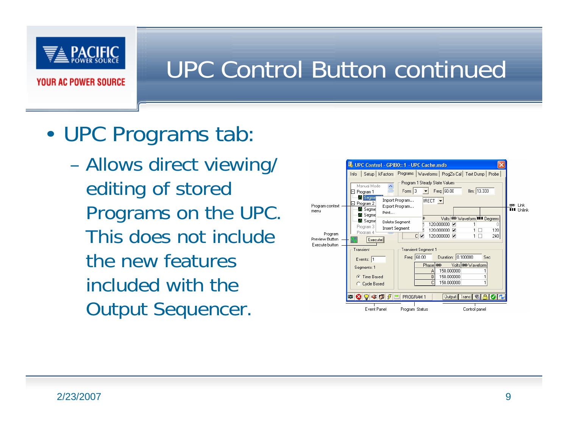

- • UPC Programs tab:
	- Allows direct viewing/ editing of stored Programs on the UPC. This does not include the new features included with the Output Sequencer.

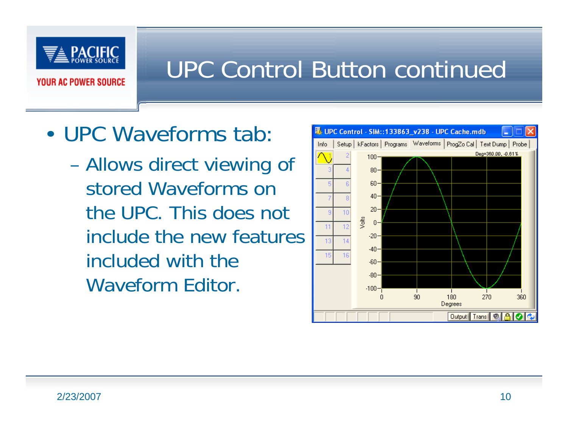

- UPC Waveforms tab:
	- Allows direct viewing of stored Waveforms on the UPC. This does not include the new features included with the Waveform Editor.

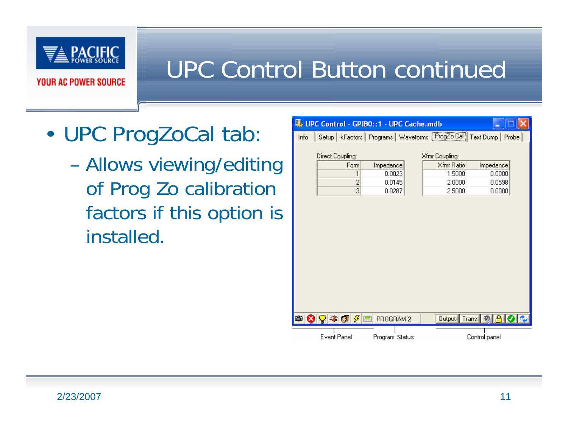

- • UPC ProgZoCal tab:
	- Allows viewing/editing of Prog Zo calibration factors if this option is installed.

|      |                          |                | 界 UPC Control - GPIBO::1 - UPC Cache.mdb |        |                                                      |               |       |
|------|--------------------------|----------------|------------------------------------------|--------|------------------------------------------------------|---------------|-------|
| Info |                          |                |                                          |        | Setup   kFactors   Programs   Waveforms   ProgZo Cal | Text Dump     | Probe |
|      |                          |                |                                          |        |                                                      |               |       |
|      | Direct Coupling:         |                |                                          |        | Xfmr Coupling:                                       |               |       |
|      |                          | Form           | Impedance                                |        | Xfmr Ratio                                           | Impedance     |       |
|      |                          | 1              | 0.0023                                   |        | 1.5000                                               | 0.0000        |       |
|      | $\overline{c}$<br>0.0145 |                | 2.0000                                   | 0.0598 |                                                      |               |       |
|      |                          | $\overline{3}$ | 0.0287                                   |        | 2.5000                                               | 0.0000        |       |
|      |                          |                |                                          |        |                                                      |               |       |
|      |                          | ▩◙◙ಂβ⋐         | PROGRAM 2                                |        | Output Trans <sup>O</sup>                            |               |       |
|      | Event Panel              |                | Program Status                           |        |                                                      | Control panel |       |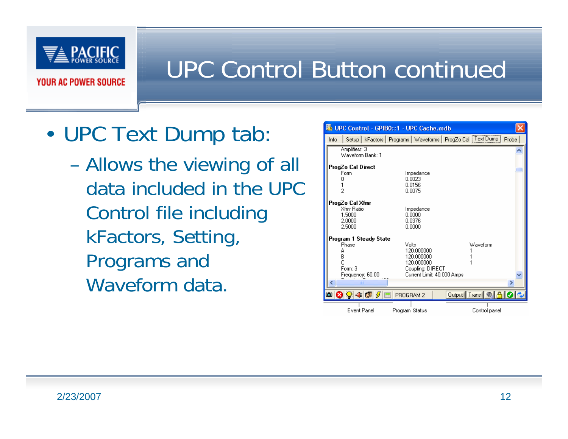

- • UPC Text Dump tab:
	- Allows the viewing of all data included in the UPC Control file including kFactors, Setting, Programs and Waveform data.

|       | 界 UPC Control - GPIBO::1 - UPC Cache.mdb                                           |                                                                                                   |                                                                          |  |
|-------|------------------------------------------------------------------------------------|---------------------------------------------------------------------------------------------------|--------------------------------------------------------------------------|--|
| Info. |                                                                                    |                                                                                                   | Setup   kFactors   Programs   Waveforms   ProgZo Cal   Text Dump   Probe |  |
|       | Amplifiers: 3<br>Waveform Bank: 1                                                  |                                                                                                   |                                                                          |  |
|       | ProgZo Cal Direct<br>Form                                                          | Impedance<br>0.0023<br>0.0156<br>0.0075                                                           |                                                                          |  |
|       | ProgZo Cal Xfmr<br>Xfmr Ratio<br>1.5000<br>2.0000<br>2.5000                        | Impedance<br>0.0000<br>0.0376<br>0.0000                                                           |                                                                          |  |
|       | Program 1 Steady State<br>Phase<br>А<br>B<br>Ċ<br>Form: 3<br>Frequency: 60.00<br>m | Volts<br>120.000000<br>120,000000<br>120,000000<br>Coupling: DIRECT<br>Current Limit: 40,000 Amps | Waveform<br>×                                                            |  |
|       | ▩◙Ω≉◙∥                                                                             | PROGRAM 2                                                                                         | Output Trans <sup>O</sup>                                                |  |
|       | Event Panel                                                                        | Program Status                                                                                    | Control panel                                                            |  |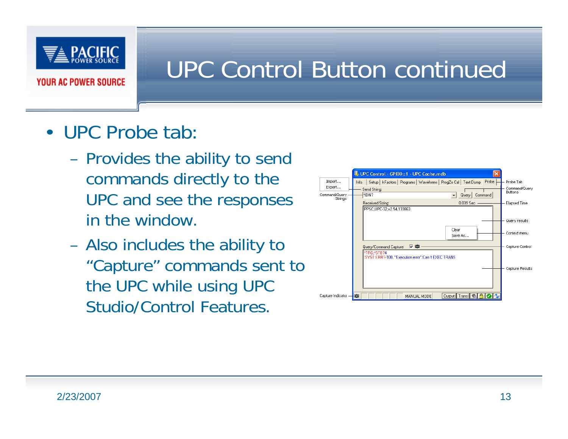

- UPC Probe tab:
	- – Provides the ability to send commands directly to the UPC and see the responses in the window.
	- – Also includes the ability to "Capture" commands sent to the UPC while using UPC Studio/Control Features.

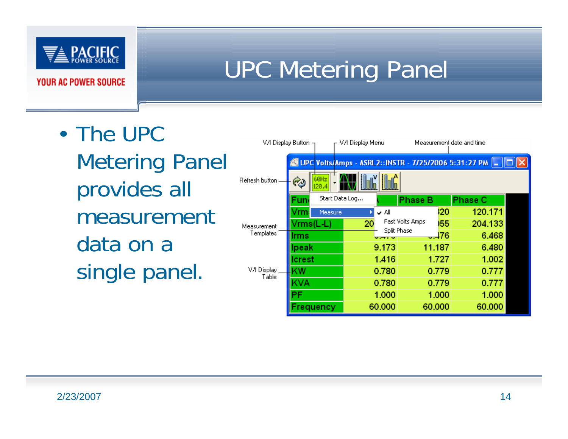

## UPC Metering Panel

• The UPC Metering Panel provides all measurement data on a single panel.

|                      | V/I Display Button $\neg$ | V/I Display Menu |        |                 |        | Measurement date and time                                 |  |
|----------------------|---------------------------|------------------|--------|-----------------|--------|-----------------------------------------------------------|--|
|                      |                           |                  |        |                 |        | UPC Volts/Amps - ASRL2:: INSTR - 7/25/2006 5:31:27 PM   . |  |
| Refresh button       | 60Hz<br>⊘<br>ى 120        |                  |        |                 |        |                                                           |  |
|                      | <b>Fun</b>                | Start Data Log   |        | <b>Phase B</b>  |        | <b>Phase C</b>                                            |  |
|                      | /rm<br>Measure            |                  | V A∥   |                 | 120    | 120.171                                                   |  |
| Measurement          | Vrms(L-L)                 | 20               |        | Fast Volts Amps | 155    | 204.133                                                   |  |
| Templates            | lrms                      |                  |        | Split Phase     | $-176$ | 6.468                                                     |  |
|                      | lpeak                     |                  | 9.173  | 11.187          |        | 6.480                                                     |  |
|                      | Icrest                    |                  | 1.416  |                 | 1.727  | 1.002                                                     |  |
| V/I Display<br>Table | ΚW                        |                  | 0.780  |                 | 0.779  | 0.777                                                     |  |
|                      | KVA                       |                  | 0.780  |                 | 0.779  | 0.777                                                     |  |
|                      | PF                        |                  | 1.000  |                 | 1.000  | 1.000                                                     |  |
|                      | Frequency                 |                  | 60,000 | 60,000          |        | 60.000                                                    |  |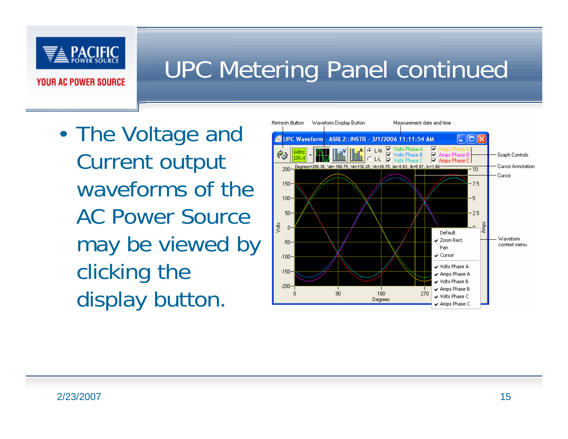

### UPC Metering Panel continued

• The Voltage and Current output waveforms of the AC Power Source may be viewed by clicking the display button.

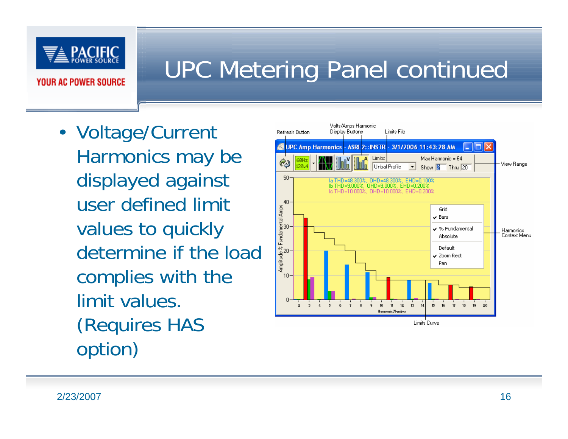

#### UPC Metering Panel continued

• Voltage/Current Harmonics may be displayed against user defined limit values to quickly determine if the load complies with the limit values. (Requires HAS option)

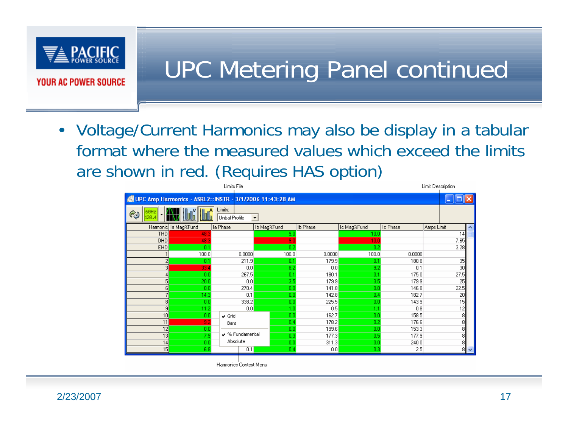

#### UPC Metering Panel continued

• Voltage/Current Harmonics may also be display in a tabular format where the measured values which exceed the limits are shown in red. (Requires HAS option)

| Limits File         |                                                          |                   |             |                |             |                | <b>Limit Description</b> |                  |
|---------------------|----------------------------------------------------------|-------------------|-------------|----------------|-------------|----------------|--------------------------|------------------|
|                     | UPC Amp Harmonics - ASRL2:: INSTR - 3/1/2006 11:43:28 AM |                   |             |                |             |                |                          |                  |
| Q)                  | Limits:<br>Unbal Profile<br>$\blacktriangledown$         |                   |             |                |             |                |                          |                  |
|                     | Harmonic la Mag%Fund                                     | la Phase          | Ib Mag%Fund | Ib Phase       | Ic Mag%Fund | Ic Phase       | Amps Limit               | $\blacktriangle$ |
| <b>THD</b>          | 48.                                                      |                   | 9.0         |                | 10.0        |                | 14                       |                  |
| OH <sub>D</sub>     | 48.3                                                     |                   | 9.0         |                | 10.0        |                | 7.65                     |                  |
| EHD                 | 0.1                                                      |                   | 0.2         |                | 0.2         |                | 3.28                     |                  |
|                     | 100.0                                                    | 0.0000            | 100.0       | 0.0000         | 100.0       | 0.0000         |                          |                  |
| 2                   | 0.1                                                      | 211.9             | 0.1         | 179.9          | 0.1         | 180.8          | 35                       |                  |
| 3                   | 33.4                                                     | 0.0               | 8.2         | 0.0            | 9.2         | 0.1            | 30 <sup>1</sup>          |                  |
|                     | 0.0                                                      | 267.5             | 0.1         | 180.1          | 0.1         | 175.0          | 27.5                     |                  |
| 5                   | 20.0                                                     | 0.0               | 3.5         | 179.9          | 3.5         | 179.9          | 25                       |                  |
| 6<br>$\overline{7}$ | 0.0<br>14.3                                              | 270.4<br>0.1      | 0.0<br>0.0  | 141.8<br>142.8 | 0.0<br>0.4  | 146.8<br>182.7 | 22.5<br>20               |                  |
| 8                   | 0.0                                                      | 338.2             | 0.0         | 225.5          | 0.0         | 143.9          | 15                       |                  |
| $\overline{9}$      | 11.2                                                     | 0.0               | 1.0         | 0.5            | 1.1         | 0.8            |                          |                  |
| 10                  | 0.0                                                      | $\checkmark$ Grid | 0.0         | 162.7          | 0.0         | 158.5          | $\frac{12}{8}$           |                  |
| 11                  | 9.2                                                      | Bars              | 0.4         | 178.2          | 0.2         | 176.6          | 8                        |                  |
| 12                  | 0.0                                                      |                   | 0.0         | 199.6          | 0.0         | 153.3          | 8                        |                  |
| 13                  | 7.9                                                      | ↓ % Fundamental   | 0.3         | 177.3          | 0.5         | 177.9          | $\overline{8}$           |                  |
| 14                  | 0.0                                                      | Absolute          | 0.0         | 311.3          | 0.0         | 240.0          | 8                        |                  |
| 15                  | 6.8                                                      | 0.1               | 0.4         | 0.0            | 0.3         | 2.5            |                          | 8   ∨            |

Harmonics Context Menu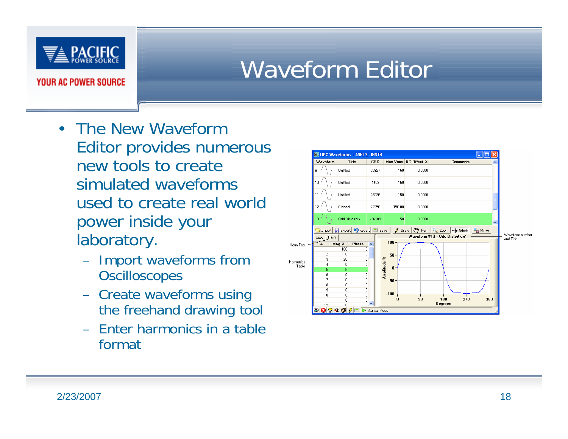

## Waveform Editor

- The New Waveform Editor provides numerous new tools to create simulated waveforms used to create real world power inside your laboratory.
	- Import waveforms from **Oscilloscopes**
	- Create waveforms using the freehand drawing tool
	- Enter harmonics in a table format

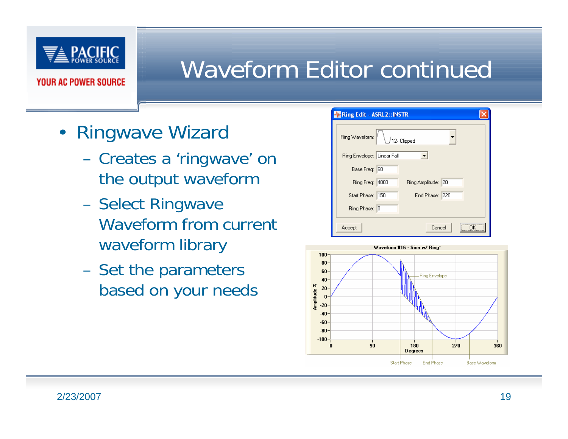

#### Waveform Editor continued

- Ringwave Wizard
	- – Creates a 'ringwave' on the output waveform
	- **Hart Common**  Select Ringwave Waveform from current waveform library
	- –Set the parameters based on your needs

| <b>Ring Edit - ASRL2:: INSTR</b>         |  |
|------------------------------------------|--|
| Ring Waveform:<br>12- Clipped            |  |
| Ring Envelope: Linear Fall               |  |
| Base Freq: 60                            |  |
| Ring Freq: 4000<br>Ring Amplitude:<br>20 |  |
| End Phase: 220<br>Start Phase: 150       |  |
| Ring Phase: 0                            |  |
| Cancel<br>Accept                         |  |

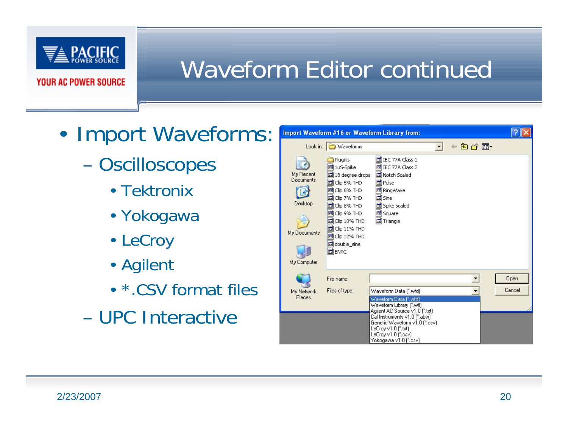

## Waveform Editor continued

- • Import Waveforms:
	- **Oscilloscopes** 
		- Tektronix
		- Yokogawa
		- LeCroy
		- Agilent
		- \*.CSV format files
	- UPC Interactive

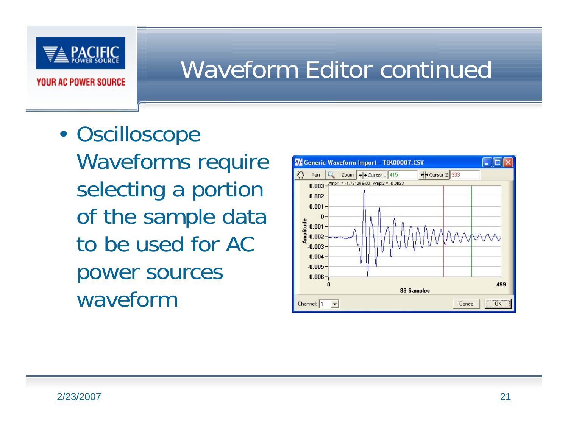

#### Waveform Editor continued

•**Oscilloscope** Waveforms require selecting a portion of the sample data to be used for AC power sources waveform

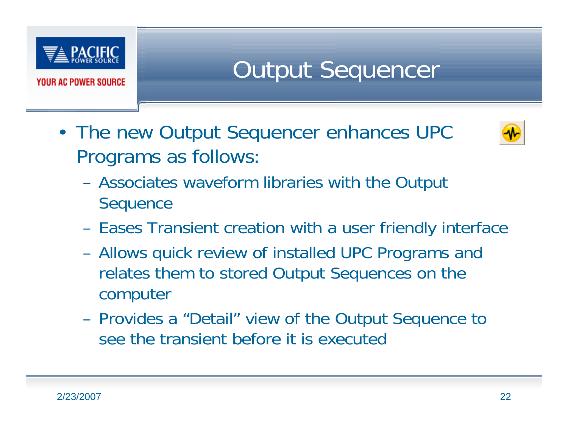

Output Sequencer

• The new Output Sequencer enhances UPC Programs as follows:



- **Hart Common**  Associates waveform libraries with the Output **Sequence**
- **Hart Common** Eases Transient creation with a user friendly interface
- **Hart Common**  Allows quick review of installed UPC Programs and relates them to stored Output Sequences on the computer
- **Hart Common**  Provides a "Detail" view of the Output Sequence to see the transient before it is executed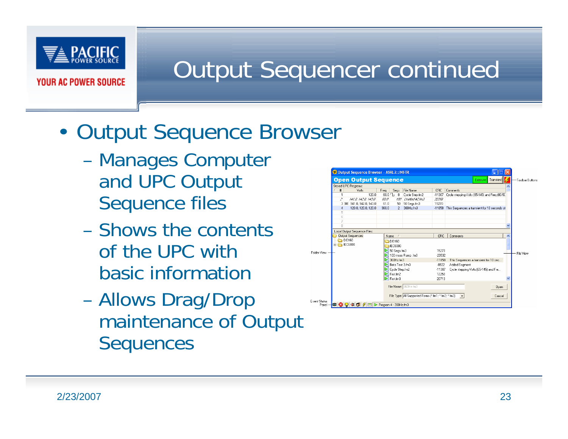

#### Output Sequencer continued

#### •Output Sequence Browser

- Manages Computer and UPC Output Sequence files
- Shows the contentsof the UPC with basic information
- Allows Drag/Drop maintenance of Output **Sequences**

|                        | <sup>2</sup> Output Sequence Browser - ASRL2::INSTR |                                                      |                                                          |   |                 |
|------------------------|-----------------------------------------------------|------------------------------------------------------|----------------------------------------------------------|---|-----------------|
|                        | <b>Open Output Sequence</b>                         |                                                      | Transient<br>Execute                                     |   | Toolbar Buttons |
|                        | Stored UPC Programs:                                |                                                      |                                                          |   |                 |
|                        | Volts<br>#                                          | File Name<br>Freq<br>Segs                            | CRC<br>Comments                                          |   |                 |
|                        | 1200<br>-1                                          | $60.0\ \text{T}$<br>8<br>Cycle Step.fm2              | Cycle stepping Volts (65-145) and Freq (80-50<br>-11307  |   |                 |
|                        | 2<br>141.0.142.0.143.0                              | 60.O<br>100 Lintified #2 fm3                         | 32268                                                    |   |                 |
|                        | 3 BIIE 141.0.142.0.143.0                            | 61.0<br>50 Segs.fm3<br>50                            | 15270                                                    |   |                 |
|                        | 120.0, 120.0, 120.0<br>4                            | 360.0<br>360Hz.fm3<br>$\mathcal{P}$                  | $-11858$<br>This Sequences a transient for 10 seconds of |   |                 |
|                        | 5                                                   |                                                      |                                                          |   |                 |
|                        | 6                                                   |                                                      |                                                          |   |                 |
|                        | 7                                                   |                                                      |                                                          |   |                 |
|                        | 8                                                   |                                                      |                                                          |   |                 |
|                        | Local Output Sequence Files:                        |                                                      |                                                          |   |                 |
|                        | <b>Output Sequences</b>                             | 7<br>Name                                            | CRC<br>Comments                                          | ㅅ |                 |
|                        | D0160                                               | CD D0160                                             |                                                          |   |                 |
|                        | <b>IEC6000</b><br>ĖÂ                                | EC6000                                               |                                                          |   |                 |
|                        |                                                     | $\geq$ 50 Segs.fm3                                   | 15270                                                    |   |                 |
| <b>Folder View</b>     |                                                     | 100 msec Ramp .fm3                                   | $-23532$                                                 |   | File View       |
|                        |                                                     | 360Hz.fm3                                            | $-11858$<br>This Sequences a transient for 10 sec        |   |                 |
|                        |                                                     | Beta Test 3.fm3                                      | $-8922$<br>Added Segment                                 |   |                 |
|                        |                                                     |                                                      |                                                          |   |                 |
|                        |                                                     | Cycle Step.fm2                                       | $-11307$<br>Cycle stepping Volts (65-145) and Fre        |   |                 |
|                        |                                                     | $\geq$ First fm2                                     | 12250                                                    |   |                 |
|                        |                                                     | $\triangleright$ First fm3                           | 20713                                                    |   |                 |
|                        |                                                     | File Name: 360Hz.fm3                                 | Open                                                     |   |                 |
|                        |                                                     | File Type: All Supported Forms [".fm1; ".fm2; ".fm3] | $\overline{\phantom{a}}$<br>Cancel                       |   |                 |
| Event Status<br>Panel- |                                                     |                                                      |                                                          |   |                 |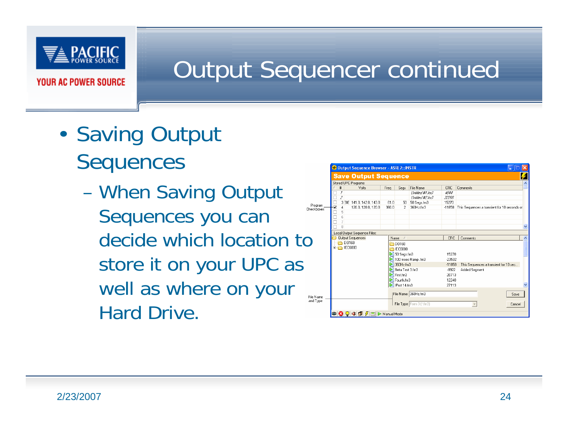

#### Output Sequencer continued

- • Saving Output **Sequences** 
	- When Saving Output  $\frac{F}{Che}$ Sequences you can decide which location to store it on your UPC as well as where on your Hard Drive.

| Volts                      | Freq                                                                                                   | Segs  | File Name                                                            | <b>CRC</b>                                                                                                                   | Comments                                     |
|----------------------------|--------------------------------------------------------------------------------------------------------|-------|----------------------------------------------------------------------|------------------------------------------------------------------------------------------------------------------------------|----------------------------------------------|
|                            |                                                                                                        |       |                                                                      |                                                                                                                              |                                              |
|                            |                                                                                                        |       | Lintitled #1.fm3                                                     | 4044                                                                                                                         |                                              |
|                            |                                                                                                        |       | Lintitled #2.fm3                                                     | 32268                                                                                                                        |                                              |
| 3 BIIE 141.0, 142.0, 143.0 | 61.0                                                                                                   | 50    | 50 Seas.fm3                                                          | 15270                                                                                                                        |                                              |
|                            |                                                                                                        |       |                                                                      |                                                                                                                              | This Sequences a transient for 10 seconds of |
|                            |                                                                                                        |       |                                                                      |                                                                                                                              |                                              |
|                            |                                                                                                        |       |                                                                      |                                                                                                                              |                                              |
|                            |                                                                                                        |       |                                                                      |                                                                                                                              |                                              |
|                            |                                                                                                        |       |                                                                      |                                                                                                                              |                                              |
|                            |                                                                                                        |       |                                                                      |                                                                                                                              |                                              |
|                            |                                                                                                        |       |                                                                      |                                                                                                                              | Comments                                     |
|                            |                                                                                                        |       |                                                                      |                                                                                                                              |                                              |
|                            |                                                                                                        |       |                                                                      |                                                                                                                              |                                              |
|                            |                                                                                                        |       |                                                                      | 15270                                                                                                                        |                                              |
|                            |                                                                                                        |       |                                                                      | $-23532$                                                                                                                     |                                              |
|                            |                                                                                                        |       |                                                                      | $-11858$                                                                                                                     | This Sequences a transient for 10 sec        |
|                            |                                                                                                        |       |                                                                      | $-8922$                                                                                                                      | Added Segment                                |
|                            |                                                                                                        |       |                                                                      | 20713                                                                                                                        |                                              |
|                            |                                                                                                        |       |                                                                      | 12240                                                                                                                        |                                              |
|                            |                                                                                                        |       |                                                                      | 27113                                                                                                                        |                                              |
|                            |                                                                                                        |       |                                                                      |                                                                                                                              |                                              |
|                            |                                                                                                        |       | File Name: 360Hz.fm3                                                 |                                                                                                                              |                                              |
|                            | 120.0.120.0.120.0<br>Local Output Sequence Files:<br><b>Output Sequences</b><br>D0160<br><b>EC6000</b> | 360.0 | $\overline{2}$<br>Name<br>-1<br><b>ED0160</b><br>EC6000<br>First fm3 | 360Hz.fm3<br>$\triangleright$ 50 Seas.fm3<br>100 msec Ramp.fm3<br>360Hz.fm3<br>Beta Test 3.fm3<br>Fourth.fm3<br>Pirot 14.fm3 | $-11858$<br>CRC                              |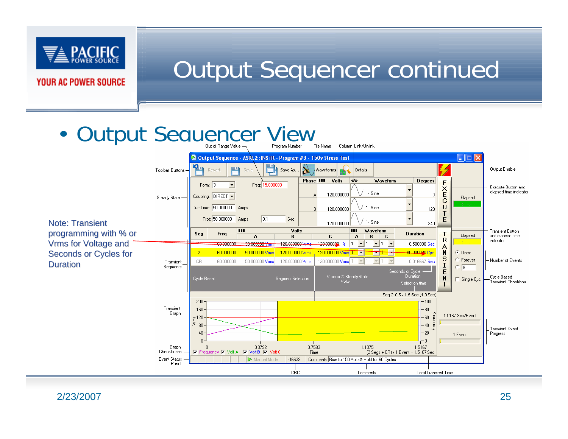

#### Output Sequencer continued

#### •**Output Sequencer View**

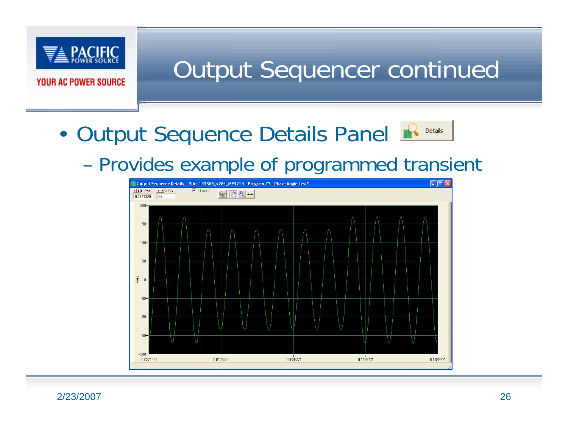

Output Sequencer continued

•Output Sequence Details Panel



#### Provides example of programmed transient



2/23/2007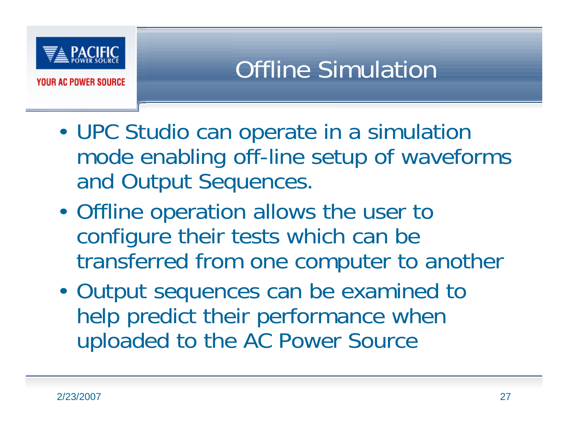

- • UPC Studio can operate in a simulation mode enabling off-line setup of waveforms and Output Sequences.
- • Offline operation allows the user to configure their tests which can be transferred from one computer to another
- • Output sequences can be examined to help predict their performance when uploaded to the AC Power Source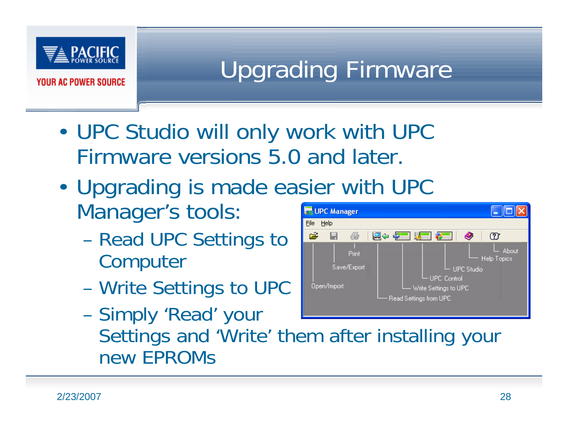

## Upgrading Firmware

- • UPC Studio will only work with UPC Firmware versions 5.0 and later.
- Upgrading is made easier with UPC •Manager's tools: UPC Manager File Help
	- Read UPC Settings to **Computer**
	- Write Settings to UPC



 Simply 'Read' your Settings and 'Write' them after installing your new EPROMs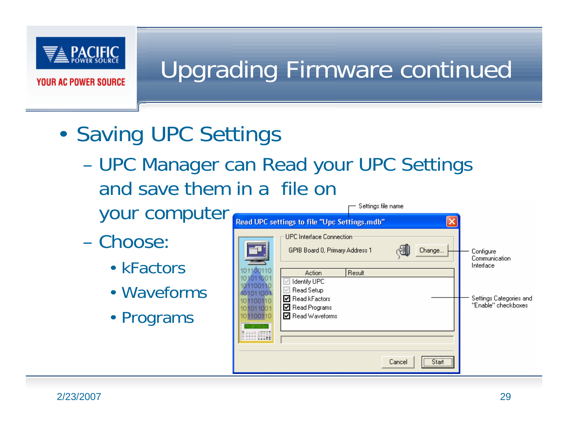

## Upgrading Firmware continued

- • Saving UPC Settings
	- UPC Manager can Read your UPC Settings and save them in a file on - Settings file name
		- your computer
	- Choose:
		- kFactors
		- Waveforms
		- Programs

|                                                                   | Read UPC settings to file "Upc Settings.mdb"                                                             |        |        |        |                                                |
|-------------------------------------------------------------------|----------------------------------------------------------------------------------------------------------|--------|--------|--------|------------------------------------------------|
| 101100110                                                         | UPC Interface Connection:<br>GPIB Board 0, Primary Address 1<br>Action                                   | Result |        | Change | Configure<br>Communication<br>Interface        |
| 011001<br>1100110<br>1011001<br>1100110<br>101011001<br>101100110 | <b>Identify UPC</b><br>Read Setup<br>Read kFactors<br>罓<br><b>Read Programs</b><br>∨<br>■ Read Waveforms |        |        |        | Settings Categories and<br>"Enable" checkboxes |
|                                                                   |                                                                                                          |        | Cancel |        |                                                |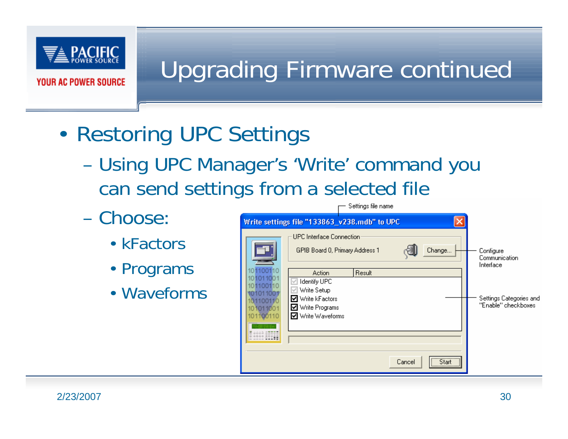

## Upgrading Firmware continued

- • Restoring UPC Settings
	- Using UPC Manager's 'Write' command you can send settings from a selected file
	- Choose:
		- kFactors
		- Programs
		- Waveforms

|                                                                                  |                                                                                                                  | www.ida.ua.uama |        |                                                         |                                                |
|----------------------------------------------------------------------------------|------------------------------------------------------------------------------------------------------------------|-----------------|--------|---------------------------------------------------------|------------------------------------------------|
|                                                                                  | Write settings file "133863_v238.mdb" to UPC                                                                     |                 |        |                                                         |                                                |
|                                                                                  | UPC Interface Connection:<br>GPIB Board 0, Primary Address 1                                                     |                 |        | Change                                                  | Configure<br>Communication<br>Interface        |
| 101100110<br>011001<br>101100110<br>1011001<br>1100110<br>101011001<br>101100110 | Action<br>Identify UPC<br>Write Setup<br><b>☑</b> Write kFactors<br>■ Write Programs<br><b>Ø</b> Write Waveforms | Result          |        |                                                         | Settings Categories and<br>"Enable" checkboxes |
| 1111 22223<br>---------                                                          |                                                                                                                  |                 | Cancel | $\overline{\phantom{a}}$ Start $\overline{\phantom{a}}$ |                                                |

— Sattings file name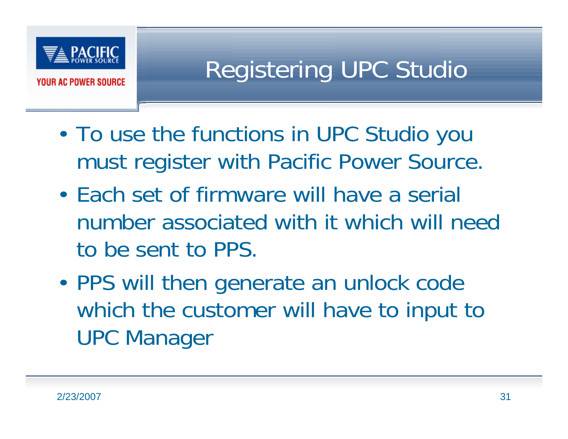

## Registering UPC Studio

- • To use the functions in UPC Studio you must register with Pacific Power Source.
- Each set of firmware will have a serial number associated with it which will need to be sent to PPS.
- • PPS will then generate an unlock code which the customer will have to input to UPC Manager